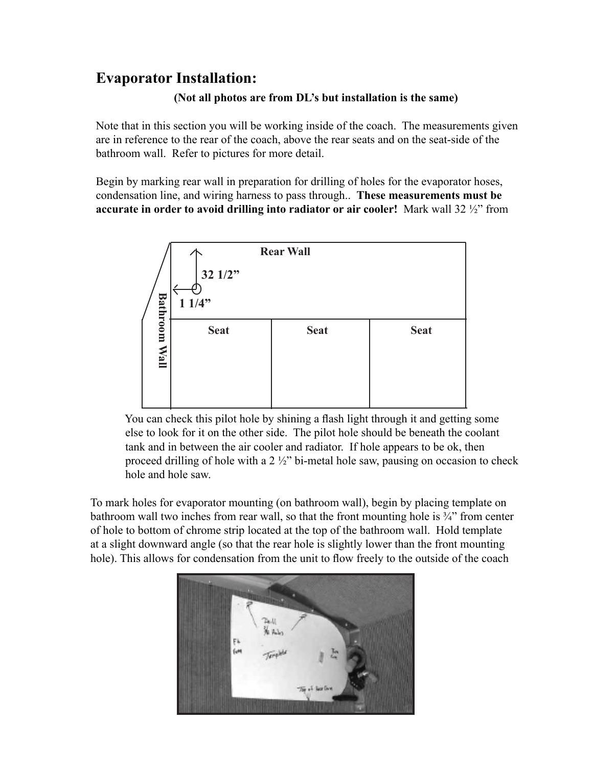### **Evaporator Installation:**

#### **(Not all photos are from DL's but installation is the same)**

Note that in this section you will be working inside of the coach. The measurements given are in reference to the rear of the coach, above the rear seats and on the seat-side of the bathroom wall. Refer to pictures for more detail.

Begin by marking rear wall in preparation for drilling of holes for the evaporator hoses, condensation line, and wiring harness to pass through.. **These measurements must be accurate in order to avoid drilling into radiator or air cooler!** Mark wall 32 ½" from



 You can check this pilot hole by shining a flash light through it and getting some else to look for it on the other side. The pilot hole should be beneath the coolant tank and in between the air cooler and radiator. If hole appears to be ok, then proceed drilling of hole with a 2 ½" bi-metal hole saw, pausing on occasion to check hole and hole saw.

To mark holes for evaporator mounting (on bathroom wall), begin by placing template on bathroom wall two inches from rear wall, so that the front mounting hole is  $\frac{3}{4}$  from center of hole to bottom of chrome strip located at the top of the bathroom wall. Hold template at a slight downward angle (so that the rear hole is slightly lower than the front mounting hole). This allows for condensation from the unit to flow freely to the outside of the coach

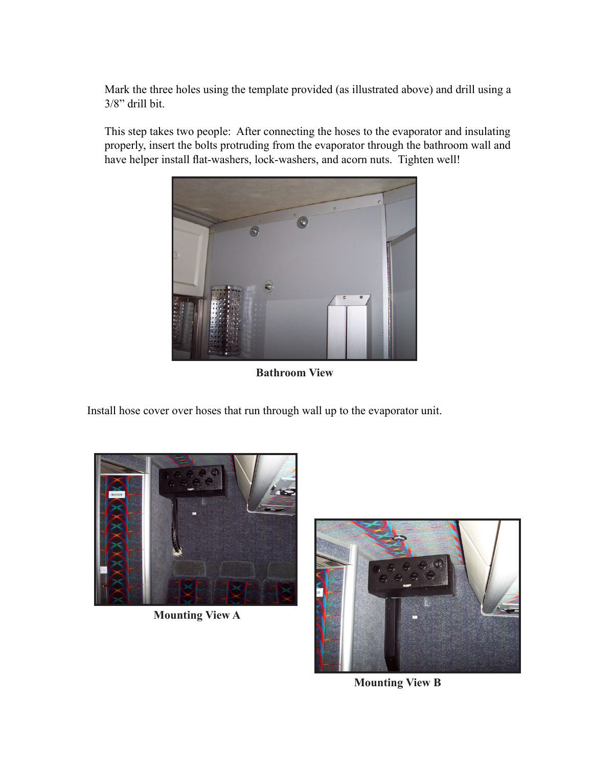Mark the three holes using the template provided (as illustrated above) and drill using a 3/8" drill bit.

This step takes two people: After connecting the hoses to the evaporator and insulating properly, insert the bolts protruding from the evaporator through the bathroom wall and have helper install flat-washers, lock-washers, and acorn nuts. Tighten well!



**Bathroom View**

Install hose cover over hoses that run through wall up to the evaporator unit.



**Mounting View A**



**Mounting View B**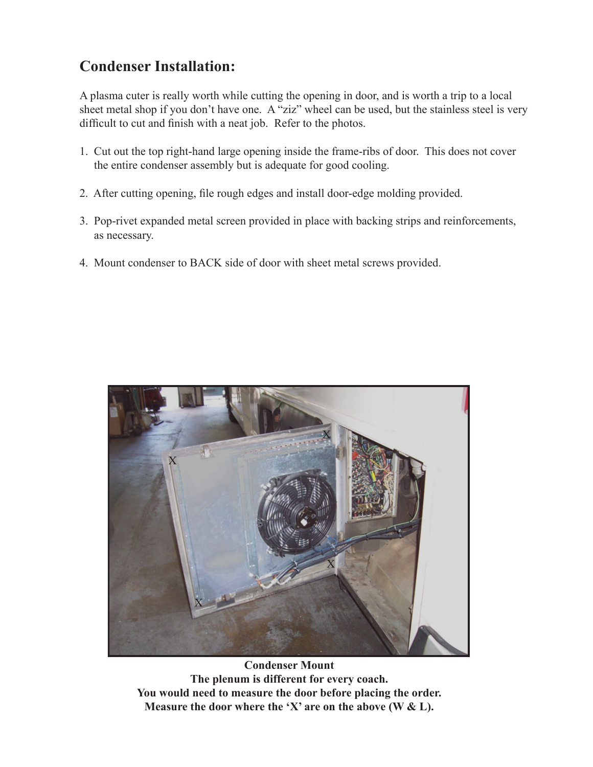### **Condenser Installation:**

A plasma cuter is really worth while cutting the opening in door, and is worth a trip to a local sheet metal shop if you don't have one. A "ziz" wheel can be used, but the stainless steel is very difficult to cut and finish with a neat job. Refer to the photos.

- 1. Cut out the top right-hand large opening inside the frame-ribs of door. This does not cover the entire condenser assembly but is adequate for good cooling.
- 2. After cutting opening, file rough edges and install door-edge molding provided.
- 3. Pop-rivet expanded metal screen provided in place with backing strips and reinforcements, as necessary.
- 4. Mount condenser to BACK side of door with sheet metal screws provided.



**Condenser Mount The plenum is different for every coach. You would need to measure the door before placing the order. Measure the door where the 'X' are on the above (W & L).**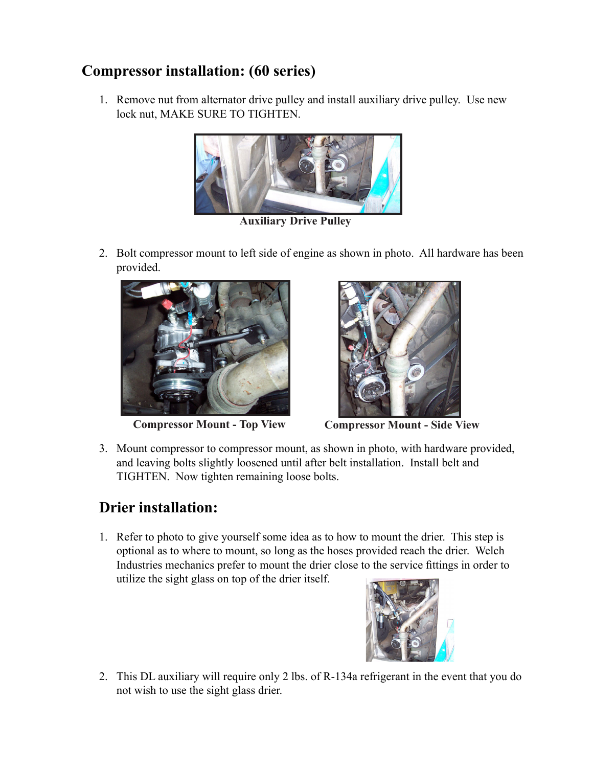## **Compressor installation: (60 series)**

1. Remove nut from alternator drive pulley and install auxiliary drive pulley. Use new lock nut, MAKE SURE TO TIGHTEN.



**Auxiliary Drive Pulley**

2. Bolt compressor mount to left side of engine as shown in photo. All hardware has been provided.





**Compressor Mount - Top View Compressor Mount - Side View**

3. Mount compressor to compressor mount, as shown in photo, with hardware provided, and leaving bolts slightly loosened until after belt installation. Install belt and TIGHTEN. Now tighten remaining loose bolts.

# **Drier installation:**

1. Refer to photo to give yourself some idea as to how to mount the drier. This step is optional as to where to mount, so long as the hoses provided reach the drier. Welch Industries mechanics prefer to mount the drier close to the service fittings in order to utilize the sight glass on top of the drier itself.



2. This DL auxiliary will require only 2 lbs. of R-134a refrigerant in the event that you do not wish to use the sight glass drier.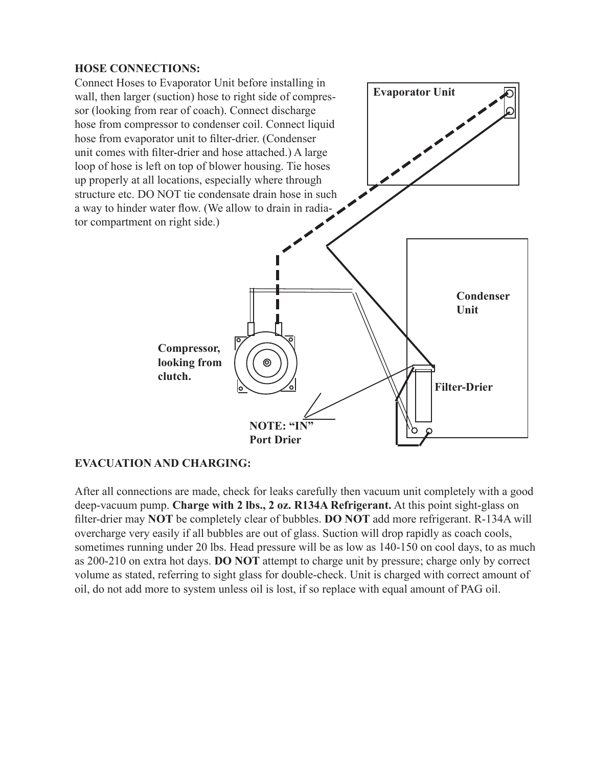#### **HOSE CONNECTIONS:**



#### **EVACUATION AND CHARGING:**

After all connections are made, check for leaks carefully then vacuum unit completely with a good deep-vacuum pump. **Charge with 2 lbs., 2 oz. R134A Refrigerant.** At this point sight-glass on filter-drier may **NOT** be completely clear of bubbles. **DO NOT** add more refrigerant. R-134A will overcharge very easily if all bubbles are out of glass. Suction will drop rapidly as coach cools, sometimes running under 20 lbs. Head pressure will be as low as 140-150 on cool days, to as much as 200-210 on extra hot days. **DO NOT** attempt to charge unit by pressure; charge only by correct volume as stated, referring to sight glass for double-check. Unit is charged with correct amount of oil, do not add more to system unless oil is lost, if so replace with equal amount of PAG oil.